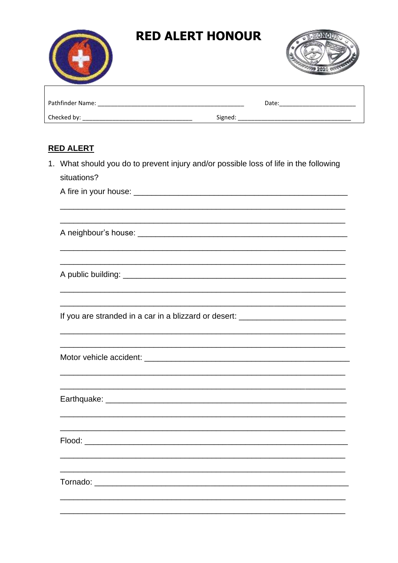

## **RED ALERT HONOUR**



| Pathfinder Name: | Date:   |
|------------------|---------|
| Checked by:      | Signed: |

## **RED ALERT**

1. What should you do to prevent injury and/or possible loss of life in the following situations?

If you are stranded in a car in a blizzard or desert: \_\_\_\_\_\_\_\_\_\_\_\_\_\_\_\_\_\_\_\_\_\_\_\_\_\_

Earthquake: Earthquake:

<u> 1989 - Johann Barbara, martxa alemaniar amerikan basar da</u>

Flood: Exercise to the contract of the contract of the contract of the contract of the contract of the contract of the contract of the contract of the contract of the contract of the contract of the contract of the contrac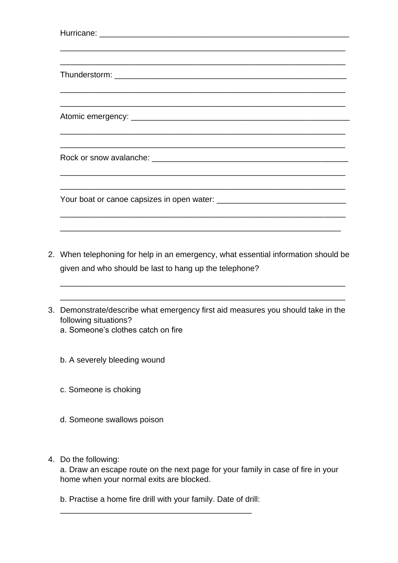| <u> 1989 - Johann Harry Harry Harry Harry Harry Harry Harry Harry Harry Harry Harry Harry Harry Harry Harry Harry</u> |
|-----------------------------------------------------------------------------------------------------------------------|
| <u> 1999 - Jan James James James James James James James James James James James James James James James James</u>    |
|                                                                                                                       |
|                                                                                                                       |
| <u> 1980 - Andrea Santa Andrea Andrea Andrea Andrea Andrea Andrea Andrea Andrea Andrea Andrea Andrea Andrea Andr</u>  |
|                                                                                                                       |
|                                                                                                                       |
|                                                                                                                       |
|                                                                                                                       |
|                                                                                                                       |
|                                                                                                                       |
|                                                                                                                       |
| <u> 1990 - John Stone, Amerikaansk politiker (* 1900)</u>                                                             |
|                                                                                                                       |

2. When telephoning for help in an emergency, what essential information should be given and who should be last to hang up the telephone?

\_\_\_\_\_\_\_\_\_\_\_\_\_\_\_\_\_\_\_\_\_\_\_\_\_\_\_\_\_\_\_\_\_\_\_\_\_\_\_\_\_\_\_\_\_\_\_\_\_\_\_\_\_\_\_\_\_\_\_\_\_\_\_\_

\_\_\_\_\_\_\_\_\_\_\_\_\_\_\_\_\_\_\_\_\_\_\_\_\_\_\_\_\_\_\_\_\_\_\_\_\_\_\_\_\_\_\_\_\_\_\_\_\_\_\_\_\_\_\_\_\_\_\_\_\_\_\_\_

- 3. Demonstrate/describe what emergency first aid measures you should take in the following situations?
	- a. Someone's clothes catch on fire
	- b. A severely bleeding wound
	- c. Someone is choking
	- d. Someone swallows poison
- 4. Do the following:

a. Draw an escape route on the next page for your family in case of fire in your home when your normal exits are blocked.

b. Practise a home fire drill with your family. Date of drill: \_\_\_\_\_\_\_\_\_\_\_\_\_\_\_\_\_\_\_\_\_\_\_\_\_\_\_\_\_\_\_\_\_\_\_\_\_\_\_\_\_\_\_